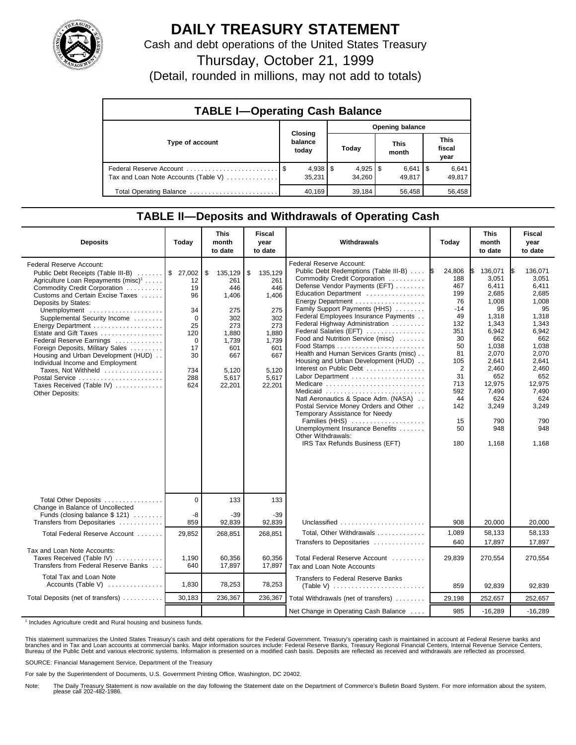

## **DAILY TREASURY STATEMENT**

Cash and debt operations of the United States Treasury

Thursday, October 21, 1999

(Detail, rounded in millions, may not add to totals)

| <b>TABLE I-Operating Cash Balance</b> |         |                        |                        |        |  |                      |  |                               |  |
|---------------------------------------|---------|------------------------|------------------------|--------|--|----------------------|--|-------------------------------|--|
|                                       | Closing |                        | <b>Opening balance</b> |        |  |                      |  |                               |  |
| Type of account                       |         | balance<br>today       |                        | Today  |  | <b>This</b><br>month |  | <b>This</b><br>fiscal<br>year |  |
| Tax and Loan Note Accounts (Table V)  |         | $4,938$   \$<br>35.231 |                        | 34.260 |  | $6,641$ S<br>49.817  |  | 6,641<br>49,817               |  |
| Total Operating Balance               |         | 40.169                 |                        | 39,184 |  | 56,458               |  | 56,458                        |  |

## **TABLE II—Deposits and Withdrawals of Operating Cash**

| <b>Deposits</b>                                                                                                                                                                                                                                                                                                                                                                                                                                                                                                                                           | Today                                                                                      | <b>This</b><br>month<br>to date                                                                                       | Fiscal<br>year<br>to date                                                                                             | Withdrawals                                                                                                                                                                                                                                                                                                                                                                                                                                                                                                                                                                                                                                                                                                                          | Today                                                                                                                                                                | <b>This</b><br>month<br>to date                                                                                                                                                          | <b>Fiscal</b><br>year<br>to date                                                                                                                                                                |
|-----------------------------------------------------------------------------------------------------------------------------------------------------------------------------------------------------------------------------------------------------------------------------------------------------------------------------------------------------------------------------------------------------------------------------------------------------------------------------------------------------------------------------------------------------------|--------------------------------------------------------------------------------------------|-----------------------------------------------------------------------------------------------------------------------|-----------------------------------------------------------------------------------------------------------------------|--------------------------------------------------------------------------------------------------------------------------------------------------------------------------------------------------------------------------------------------------------------------------------------------------------------------------------------------------------------------------------------------------------------------------------------------------------------------------------------------------------------------------------------------------------------------------------------------------------------------------------------------------------------------------------------------------------------------------------------|----------------------------------------------------------------------------------------------------------------------------------------------------------------------|------------------------------------------------------------------------------------------------------------------------------------------------------------------------------------------|-------------------------------------------------------------------------------------------------------------------------------------------------------------------------------------------------|
| Federal Reserve Account:<br>Public Debt Receipts (Table III-B)  \$ 27,002<br>Agriculture Loan Repayments (misc) <sup>1</sup><br>Commodity Credit Corporation<br>Customs and Certain Excise Taxes<br>Deposits by States:<br>Unemployment<br>Supplemental Security Income<br>Energy Department<br>Estate and Gift Taxes<br>Federal Reserve Earnings<br>Foreign Deposits, Military Sales<br>Housing and Urban Development (HUD)<br>Individual Income and Employment<br>Taxes, Not Withheld<br>Postal Service<br>Taxes Received (Table IV)<br>Other Deposits: | 12<br>19<br>96<br>34<br>$\Omega$<br>25<br>120<br>$\Omega$<br>17<br>30<br>734<br>288<br>624 | \$<br>135,129<br>261<br>446<br>1,406<br>275<br>302<br>273<br>1,880<br>1,739<br>601<br>667<br>5,120<br>5,617<br>22,201 | \$<br>135,129<br>261<br>446<br>1.406<br>275<br>302<br>273<br>1,880<br>1,739<br>601<br>667<br>5.120<br>5,617<br>22,201 | <b>Federal Reserve Account:</b><br>Public Debt Redemptions (Table III-B)<br>Commodity Credit Corporation<br>Defense Vendor Payments (EFT)<br>Education Department<br>Family Support Payments (HHS)<br>Federal Employees Insurance Payments<br>Federal Highway Administration<br>Federal Salaries (EFT)<br>Food and Nutrition Service (misc)<br>Health and Human Services Grants (misc)<br>Housing and Urban Development (HUD)<br>Interest on Public Debt<br>Labor Department<br>Medicare<br>Medicaid<br>Natl Aeronautics & Space Adm. (NASA)<br>Postal Service Money Orders and Other<br>Temporary Assistance for Needy<br>Families (HHS)<br>Unemployment Insurance Benefits<br>Other Withdrawals:<br>IRS Tax Refunds Business (EFT) | 24,806<br>1\$<br>188<br>467<br>199<br>76<br>$-14$<br>49<br>132<br>351<br>30<br>50<br>81<br>105<br>$\overline{2}$<br>31<br>713<br>592<br>44<br>142<br>15<br>50<br>180 | 136,071<br>3.051<br>6,411<br>2,685<br>1,008<br>95<br>1,318<br>1,343<br>6,942<br>662<br>1,038<br>2,070<br>2,641<br>2,460<br>652<br>12,975<br>7,490<br>624<br>3,249<br>790<br>948<br>1,168 | 136.071<br>I\$<br>3.051<br>6,411<br>2,685<br>1,008<br>95<br>1,318<br>1,343<br>6,942<br>662<br>1,038<br>2,070<br>2,641<br>2,460<br>652<br>12,975<br>7,490<br>624<br>3,249<br>790<br>948<br>1,168 |
| Total Other Deposits<br>Change in Balance of Uncollected                                                                                                                                                                                                                                                                                                                                                                                                                                                                                                  | $\Omega$                                                                                   | 133                                                                                                                   | 133                                                                                                                   |                                                                                                                                                                                                                                                                                                                                                                                                                                                                                                                                                                                                                                                                                                                                      |                                                                                                                                                                      |                                                                                                                                                                                          |                                                                                                                                                                                                 |
| Funds (closing balance \$ 121)<br>Transfers from Depositaries                                                                                                                                                                                                                                                                                                                                                                                                                                                                                             | -8<br>859                                                                                  | $-39$<br>92,839                                                                                                       | $-39$<br>92,839                                                                                                       | Unclassified                                                                                                                                                                                                                                                                                                                                                                                                                                                                                                                                                                                                                                                                                                                         | 908                                                                                                                                                                  | 20,000                                                                                                                                                                                   | 20,000                                                                                                                                                                                          |
| Total Federal Reserve Account                                                                                                                                                                                                                                                                                                                                                                                                                                                                                                                             | 29,852                                                                                     | 268,851                                                                                                               | 268,851                                                                                                               | Total, Other Withdrawals<br>Transfers to Depositaries                                                                                                                                                                                                                                                                                                                                                                                                                                                                                                                                                                                                                                                                                | 1,089<br>640                                                                                                                                                         | 58,133<br>17,897                                                                                                                                                                         | 58,133<br>17.897                                                                                                                                                                                |
| Tax and Loan Note Accounts:<br>Taxes Received (Table IV)<br>Transfers from Federal Reserve Banks                                                                                                                                                                                                                                                                                                                                                                                                                                                          | 1,190<br>640                                                                               | 60,356<br>17,897                                                                                                      | 60,356<br>17,897                                                                                                      | Total Federal Reserve Account<br>Tax and Loan Note Accounts                                                                                                                                                                                                                                                                                                                                                                                                                                                                                                                                                                                                                                                                          | 29,839                                                                                                                                                               | 270,554                                                                                                                                                                                  | 270,554                                                                                                                                                                                         |
| Total Tax and Loan Note<br>Accounts (Table V)                                                                                                                                                                                                                                                                                                                                                                                                                                                                                                             | 1,830                                                                                      | 78,253                                                                                                                | 78,253                                                                                                                | Transfers to Federal Reserve Banks                                                                                                                                                                                                                                                                                                                                                                                                                                                                                                                                                                                                                                                                                                   | 859                                                                                                                                                                  | 92.839                                                                                                                                                                                   | 92.839                                                                                                                                                                                          |
| Total Deposits (net of transfers)                                                                                                                                                                                                                                                                                                                                                                                                                                                                                                                         | 30,183                                                                                     | 236,367                                                                                                               | 236,367                                                                                                               | Total Withdrawals (net of transfers)                                                                                                                                                                                                                                                                                                                                                                                                                                                                                                                                                                                                                                                                                                 | 29,198                                                                                                                                                               | 252,657                                                                                                                                                                                  | 252,657                                                                                                                                                                                         |
|                                                                                                                                                                                                                                                                                                                                                                                                                                                                                                                                                           |                                                                                            |                                                                                                                       |                                                                                                                       | Net Change in Operating Cash Balance                                                                                                                                                                                                                                                                                                                                                                                                                                                                                                                                                                                                                                                                                                 | 985                                                                                                                                                                  | $-16,289$                                                                                                                                                                                | $-16,289$                                                                                                                                                                                       |

<sup>1</sup> Includes Agriculture credit and Rural housing and business funds.

This statement summarizes the United States Treasury's cash and debt operations for the Federal Government. Treasury's operating cash is maintained in account at Federal Reserve banks and<br>branches and in Tax and Loan accou

SOURCE: Financial Management Service, Department of the Treasury

For sale by the Superintendent of Documents, U.S. Government Printing Office, Washington, DC 20402.

Note: The Daily Treasury Statement is now available on the day following the Statement date on the Department of Commerce's Bulletin Board System. For more information about the system, please call 202-482-1986.